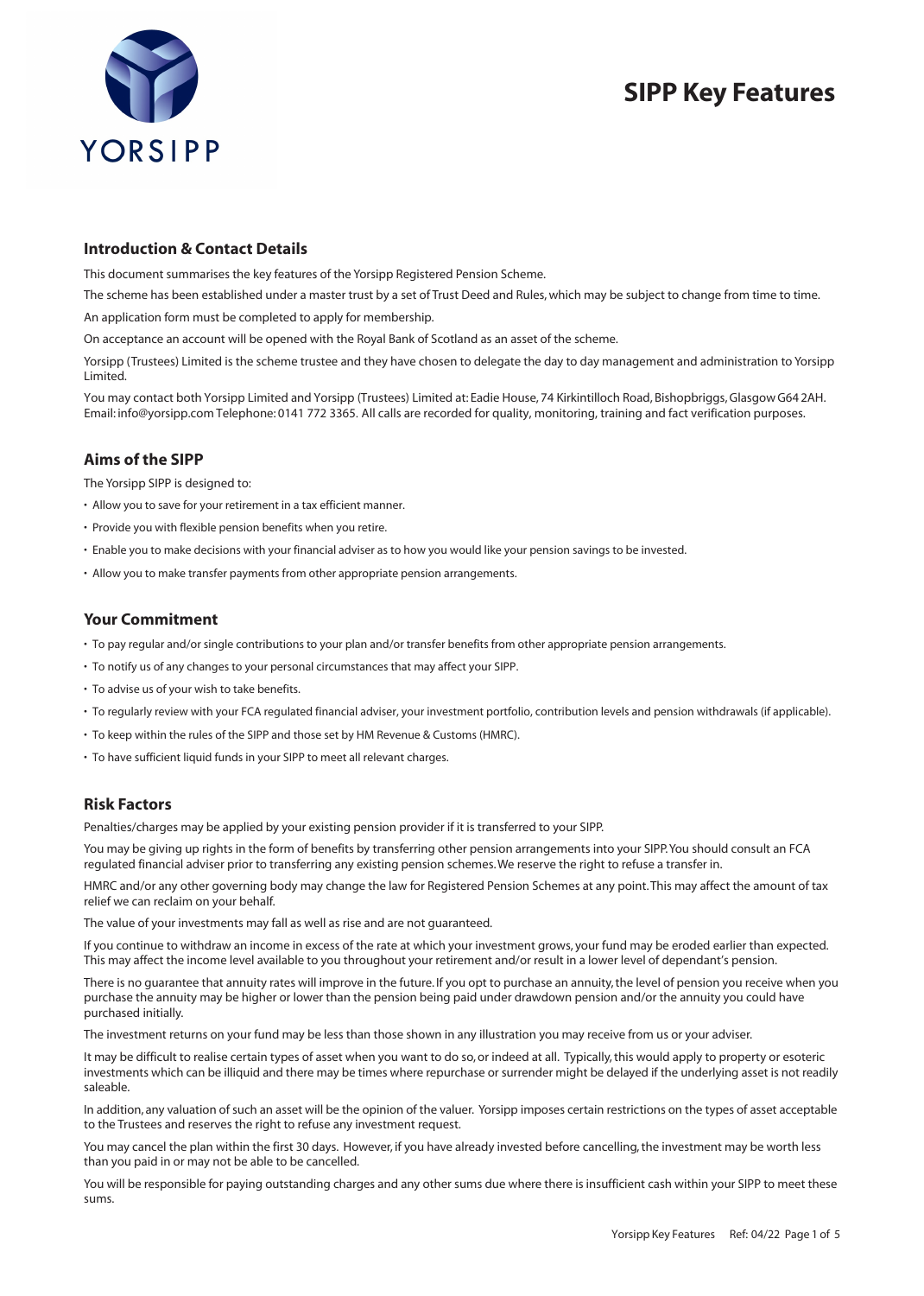

# **SIPP Key Features**

# **Introduction & Contact Details**

This document summarises the key features of the Yorsipp Registered Pension Scheme.

The scheme has been established under a master trust by a set of Trust Deed and Rules, which may be subject to change from time to time.

An application form must be completed to apply for membership.

On acceptance an account will be opened with the Royal Bank of Scotland as an asset of the scheme.

Yorsipp (Trustees) Limited is the scheme trustee and they have chosen to delegate the day to day management and administration to Yorsipp Limited.

You may contact both Yorsipp Limited and Yorsipp (Trustees) Limited at: Eadie House, 74 Kirkintilloch Road, Bishopbriggs, Glasgow G64 2AH. Email: info@yorsipp.com Telephone: 0141 772 3365. All calls are recorded for quality, monitoring, training and fact verification purposes.

# **Aims of the SIPP**

The Yorsipp SIPP is designed to:

- Allow you to save for your retirement in a tax efficient manner.
- Provide you with flexible pension benefits when you retire.
- Enable you to make decisions with your financial adviser as to how you would like your pension savings to be invested.
- Allow you to make transfer payments from other appropriate pension arrangements.

# **Your Commitment**

- To pay regular and/or single contributions to your plan and/or transfer benefits from other appropriate pension arrangements.
- To notify us of any changes to your personal circumstances that may affect your SIPP.
- To advise us of your wish to take benefits.
- To regularly review with your FCA regulated financial adviser, your investment portfolio, contribution levels and pension withdrawals (if applicable).
- To keep within the rules of the SIPP and those set by HM Revenue & Customs (HMRC).
- To have sufficient liquid funds in your SIPP to meet all relevant charges.

# **Risk Factors**

Penalties/charges may be applied by your existing pension provider if it is transferred to your SIPP.

You may be giving up rights in the form of benefits by transferring other pension arrangements into your SIPP. You should consult an FCA regulated financial adviser prior to transferring any existing pension schemes. We reserve the right to refuse a transfer in.

HMRC and/or any other governing body may change the law for Registered Pension Schemes at any point. This may affect the amount of tax relief we can reclaim on your behalf.

The value of your investments may fall as well as rise and are not guaranteed.

If you continue to withdraw an income in excess of the rate at which your investment grows, your fund may be eroded earlier than expected. This may affect the income level available to you throughout your retirement and/or result in a lower level of dependant's pension.

There is no guarantee that annuity rates will improve in the future. If you opt to purchase an annuity, the level of pension you receive when you purchase the annuity may be higher or lower than the pension being paid under drawdown pension and/or the annuity you could have purchased initially.

The investment returns on your fund may be less than those shown in any illustration you may receive from us or your adviser.

It may be difficult to realise certain types of asset when you want to do so, or indeed at all. Typically, this would apply to property or esoteric investments which can be illiquid and there may be times where repurchase or surrender might be delayed if the underlying asset is not readily saleable.

In addition, any valuation of such an asset will be the opinion of the valuer. Yorsipp imposes certain restrictions on the types of asset acceptable to the Trustees and reserves the right to refuse any investment request.

You may cancel the plan within the first 30 days. However, if you have already invested before cancelling, the investment may be worth less than you paid in or may not be able to be cancelled.

You will be responsible for paying outstanding charges and any other sums due where there is insufficient cash within your SIPP to meet these sums.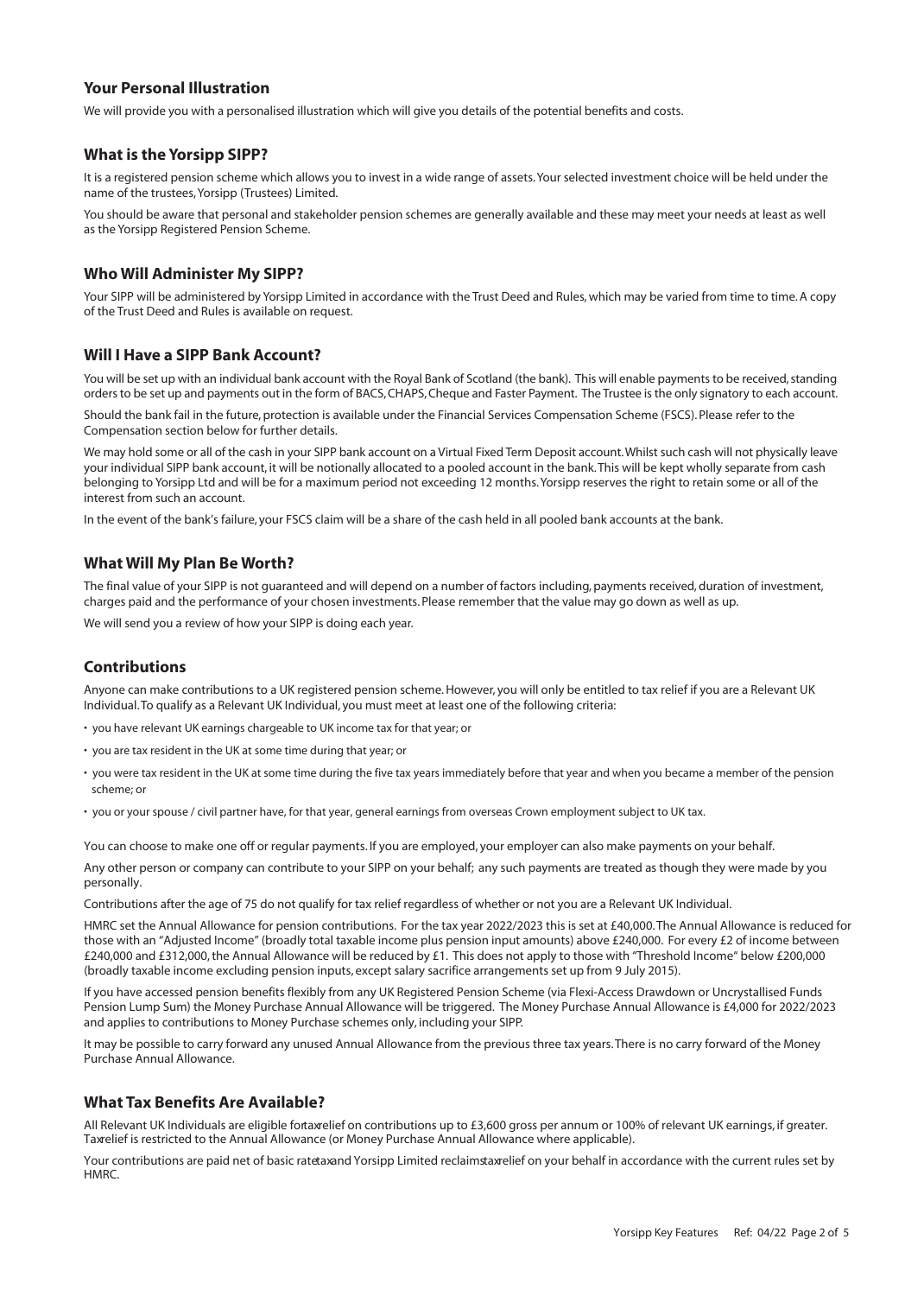# **Your Personal Illustration**

We will provide you with a personalised illustration which will give you details of the potential benefits and costs.

## **What is the Yorsipp SIPP?**

It is a registered pension scheme which allows you to invest in a wide range of assets. Your selected investment choice will be held under the name of the trustees, Yorsipp (Trustees) Limited.

You should be aware that personal and stakeholder pension schemes are generally available and these may meet your needs at least as well as the Yorsipp Registered Pension Scheme.

# **Who Will Administer My SIPP?**

Your SIPP will be administered by Yorsipp Limited in accordance with the Trust Deed and Rules, which may be varied from time to time. A copy of the Trust Deed and Rules is available on request.

# **Will I Have a SIPP Bank Account?**

You will be set up with an individual bank account with the Royal Bank of Scotland (the bank). This will enable payments to be received, standing orders to be set up and payments out in the form of BACS, CHAPS, Cheque and Faster Payment. The Trustee isthe only signatory to each account.

Should the bank fail in the future, protection is available under the Financial Services Compensation Scheme (FSCS). Please refer to the Compensation section below for further details.

We may hold some or all of the cash in your SIPP bank account on a Virtual Fixed Term Deposit account. Whilst such cash will not physically leave your individual SIPP bank account, it will be notionally allocated to a pooled account in the bank. This will be kept wholly separate from cash belonging to Yorsipp Ltd and will be for a maximum period not exceeding 12 months. Yorsipp reserves the right to retain some or all of the interest from such an account.

In the event of the bank's failure, your FSCS claim will be a share of the cash held in all pooled bank accounts at the bank.

## **What Will My Plan Be Worth?**

The final value of your SIPP is not guaranteed and will depend on a number of factors including, payments received, duration of investment, charges paid and the performance of your chosen investments. Please remember that the value may go down as well as up.

We will send you a review of how your SIPP is doing each year.

# **Contributions**

Anyone can make contributions to a UK registered pension scheme. However, you will only be entitled to tax relief if you are a Relevant UK Individual. To qualify as a Relevant UK Individual, you must meet at least one of the following criteria:

- you have relevant UK earnings chargeable to UK income tax for that year; or
- you are tax resident in the UK at some time during that year; or
- you were tax resident in the UK at some time during the five tax years immediately before that year and when you became a member of the pension scheme; or
- you or your spouse / civil partner have, for that year, general earnings from overseas Crown employment subject to UK tax.

You can choose to make one off or regular payments. If you are employed, your employer can also make payments on your behalf.

Any other person or company can contribute to your SIPP on your behalf; any such payments are treated as though they were made by you personally.

Contributions after the age of 75 do not qualify for tax relief regardless of whether or not you are a Relevant UK Individual.

HMRC set the Annual Allowance for pension contributions. For the tax year 2022/2023 this is set at £40,000. The Annual Allowance is reduced for those with an "Adjusted Income" (broadly total taxable income plus pension input amounts) above £240,000. For every £2 of income between £240,000 and £312,000, the Annual Allowance will be reduced by £1. This does not apply to those with "Threshold Income" below £200,000 (broadly taxable income excluding pension inputs, except salary sacrifice arrangements set up from 9 July 2015).

If you have accessed pension benefits flexibly from any UK Registered Pension Scheme (via Flexi-Access Drawdown or Uncrystallised Funds Pension Lump Sum) the Money Purchase Annual Allowance will be triggered. The Money Purchase Annual Allowance is £4,000 for 2022/2023 and applies to contributions to Money Purchase schemes only, including your SIPP.

It may be possible to carry forward any unused Annual Allowance from the previous three tax years. There is no carry forward of the Money Purchase Annual Allowance.

## **What Tax Benefits Are Available?**

All Relevant UK Individuals are eligible fortaxelief on contributions up to £3,600 gross per annum or 100% of relevant UK earnings, if greater. Taxrelief is restricted to the Annual Allowance (or Money Purchase Annual Allowance where applicable).

Your contributions are paid net of basic ratetaxand Yorsipp Limited reclaimstaxrelief on your behalf in accordance with the current rules set by **HMRC**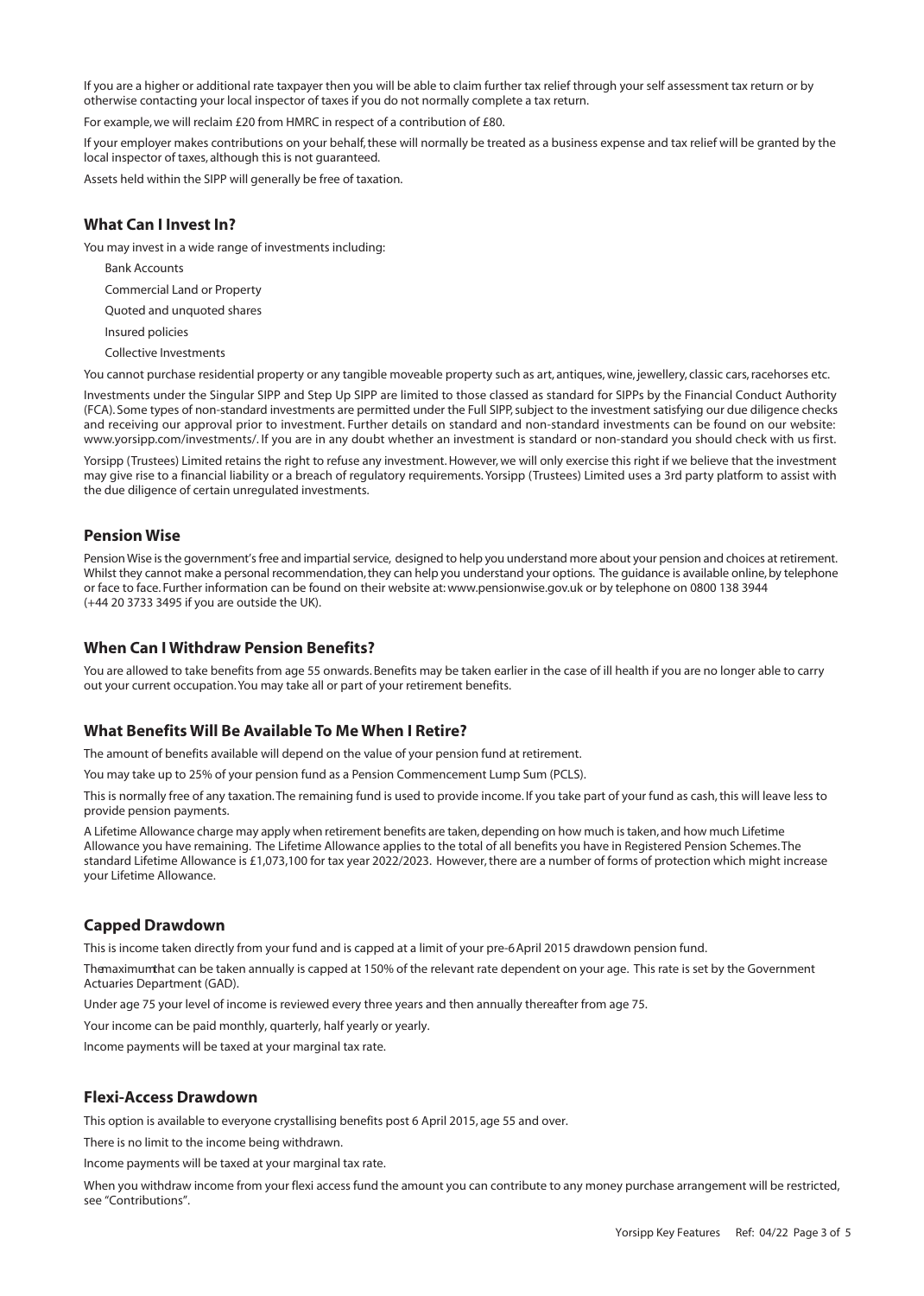If you are a higher or additional rate taxpayer then you will be able to claim further tax relief through your self assessment tax return or by otherwise contacting your local inspector of taxes if you do not normally complete a tax return.

For example, we will reclaim £20 from HMRC in respect of a contribution of £80.

If your employer makes contributions on your behalf, these will normally be treated as a business expense and tax relief will be granted by the local inspector of taxes, although this is not guaranteed.

Assets held within the SIPP will generally be free of taxation.

# **What Can I Invest In?**

You may invest in a wide range of investments including:

- Bank Accounts
- Commercial Land or Property
- Quoted and unquoted shares
- Insured policies
- Collective Investments

You cannot purchase residential property or any tangible moveable property such as art, antiques, wine, jewellery, classic cars, racehorses etc.

Investments under the Singular SIPP and Step Up SIPP are limited to those classed as standard for SIPPs by the Financial Conduct Authority (FCA). Some types of non-standard investments are permitted under the Full SIPP, subject to the investment satisfying our due diligence checks and receiving our approval prior to investment. Further details on standard and non-standard investments can be found on our website: www.yorsipp.com/investments/. If you are in any doubt whether an investment is standard or non-standard you should check with us first.

Yorsipp (Trustees) Limited retains the right to refuse any investment. However, we will only exercise this right if we believe that the investment may give rise to a financial liability or a breach of regulatory requirements. Yorsipp (Trustees) Limited uses a 3rd party platform to assist with the due diligence of certain unregulated investments.

# **Pension Wise**

Pension Wise is the government's free and impartial service, designed to help you understand more about your pension and choices at retirement. Whilst they cannot make a personal recommendation, they can help you understand your options. The guidance is available online, by telephone or face to face. Further information can be found on their website at: www.pensionwise.gov.uk or by telephone on 0800 138 3944 (+44 20 3733 3495 if you are outside the UK).

#### **When Can I Withdraw Pension Benefits?**

You are allowed to take benefits from age 55 onwards. Benefits may be taken earlier in the case of ill health if you are no longer able to carry out your current occupation. You may take all or part of your retirement benefits.

# **What Benefits Will Be Available To Me When I Retire?**

The amount of benefits available will depend on the value of your pension fund at retirement.

You may take up to 25% of your pension fund as a Pension Commencement Lump Sum (PCLS).

This is normally free of any taxation. The remaining fund is used to provide income. If you take part of your fund as cash, this will leave less to provide pension payments.

A Lifetime Allowance charge may apply when retirement benefits are taken, depending on how much istaken, and how much Lifetime Allowance you have remaining. The Lifetime Allowance applies to the total of all benefits you have in Registered Pension Schemes. The standard Lifetime Allowance is £1,073,100 for tax year 2022/2023. However, there are a number of forms of protection which might increase your Lifetime Allowance.

## **Capped Drawdown**

This is income taken directly from your fund and is capped at a limit of your pre-6April 2015 drawdown pension fund.

Themaximumthat can be taken annually is capped at 150% of the relevant rate dependent on your age. This rate is set by the Government Actuaries Department (GAD).

Under age 75 your level of income is reviewed every three years and then annually thereafter from age 75.

Your income can be paid monthly, quarterly, half yearly or yearly.

Income payments will be taxed at your marginal tax rate.

## **Flexi-Access Drawdown**

This option is available to everyone crystallising benefits post 6 April 2015, age 55 and over.

There is no limit to the income being withdrawn.

Income payments will be taxed at your marginal tax rate.

When you withdraw income from your flexi access fund the amount you can contribute to any money purchase arrangement will be restricted, see "Contributions".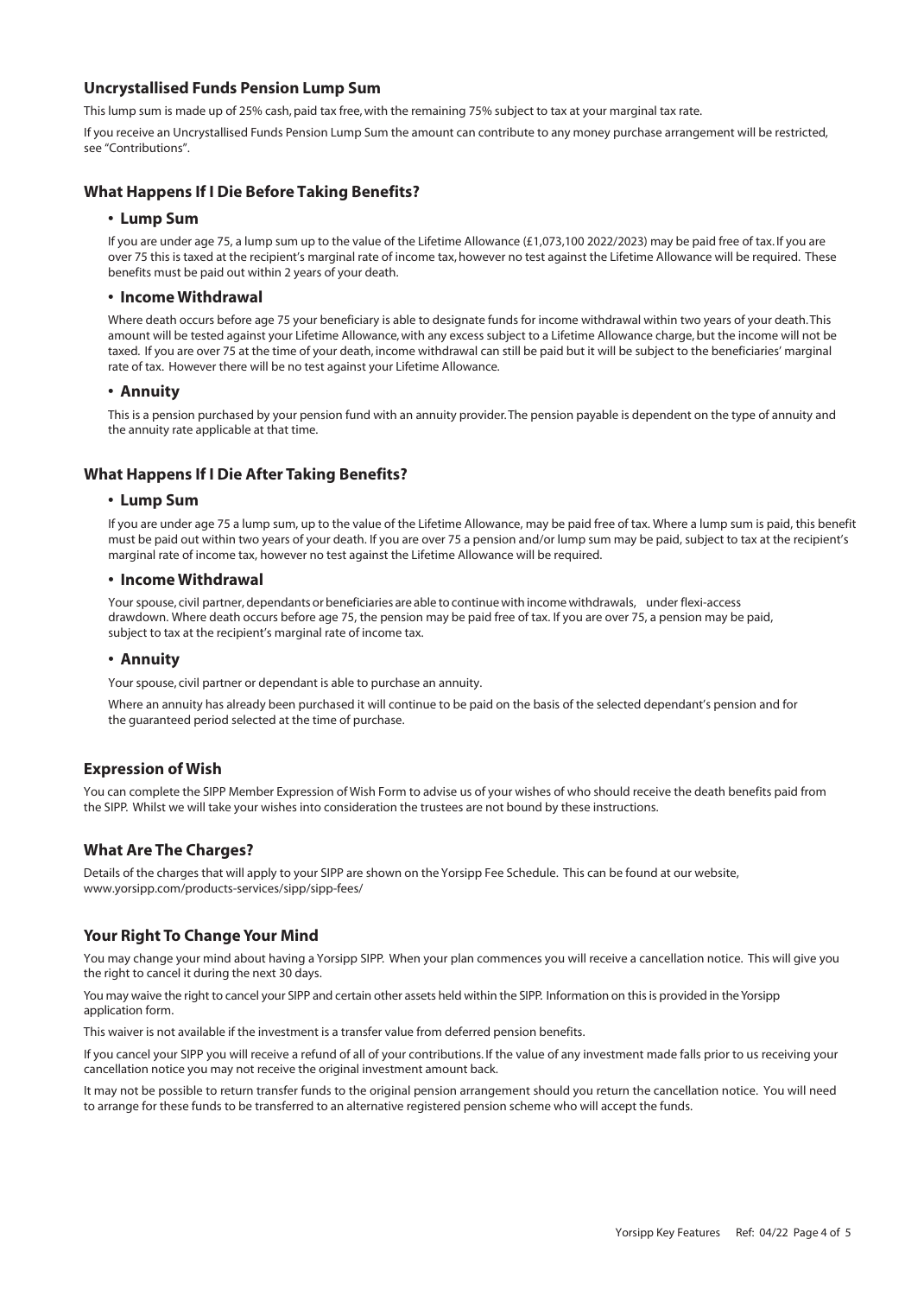# **Uncrystallised Funds Pension Lump Sum**

This lump sum is made up of 25% cash, paid tax free, with the remaining 75% subject to tax at your marginal tax rate.

If you receive an Uncrystallised Funds Pension Lump Sum the amount can contribute to any money purchase arrangement will be restricted, see "Contributions".

# **What Happens If I Die Before Taking Benefits?**

#### **• Lump Sum**

If you are under age 75, a lump sum up to the value of the Lifetime Allowance (£1,073,100 2022/2023) may be paid free of tax. If you are over 75 this is taxed at the recipient's marginal rate of income tax, however no test against the Lifetime Allowance will be required. These benefits must be paid out within 2 years of your death.

#### **• Income Withdrawal**

Where death occurs before age 75 your beneficiary is able to designate funds for income withdrawal within two years of your death. This amount will be tested against your Lifetime Allowance, with any excess subject to a Lifetime Allowance charge, but the income will not be taxed. If you are over 75 at the time of your death, income withdrawal can still be paid but it will be subject to the beneficiaries' marginal rate of tax. However there will be no test against your Lifetime Allowance.

#### **• Annuity**

This is a pension purchased by your pension fund with an annuity provider. The pension payable is dependent on the type of annuity and the annuity rate applicable at that time.

## **What Happens If I Die After Taking Benefits?**

## **• Lump Sum**

If you are under age 75 a lump sum, up to the value of the Lifetime Allowance, may be paid free of tax. Where a lump sum is paid, this benefit must be paid out within two years of your death. If you are over 75 a pension and/or lump sum may be paid, subject to tax at the recipient's marginal rate of income tax, however no test against the Lifetime Allowance will be required.

#### **• Income Withdrawal**

Your spouse, civil partner, dependants or beneficiaries are able to continue with income withdrawals, under flexi-access drawdown. Where death occurs before age 75, the pension may be paid free of tax. If you are over 75, a pension may be paid, subject to tax at the recipient's marginal rate of income tax.

## **• Annuity**

Your spouse, civil partner or dependant is able to purchase an annuity.

Where an annuity has already been purchased it will continue to be paid on the basis of the selected dependant's pension and for the guaranteed period selected at the time of purchase.

# **Expression of Wish**

You can complete the SIPP Member Expression of Wish Form to advise us of your wishes of who should receive the death benefits paid from the SIPP. Whilst we will take your wishes into consideration the trustees are not bound by these instructions.

# **What Are The Charges?**

Details of the charges that will apply to your SIPP are shown on the Yorsipp Fee Schedule. This can be found at our website, www.yorsipp.com/products-services/sipp/sipp-fees/

## **Your Right To Change Your Mind**

You may change your mind about having a Yorsipp SIPP. When your plan commences you will receive a cancellation notice. This will give you the right to cancel it during the next 30 days.

You may waive the right to cancel your SIPP and certain other assets held within the SIPP. Information on this is provided in the Yorsipp application form.

This waiver is not available if the investment is a transfer value from deferred pension benefits.

If you cancel your SIPP you will receive a refund of all of your contributions. If the value of any investment made falls prior to us receiving your cancellation notice you may not receive the original investment amount back.

It may not be possible to return transfer funds to the original pension arrangement should you return the cancellation notice. You will need to arrange for these funds to be transferred to an alternative registered pension scheme who will accept the funds.